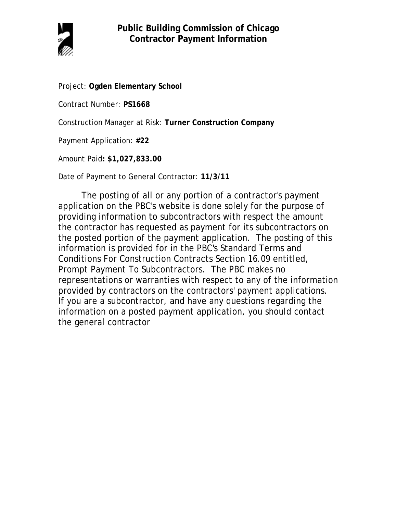

Project: **Ogden Elementary School**

Contract Number: **PS1668**

Construction Manager at Risk: **Turner Construction Company**

Payment Application: **#22**

Amount Paid**: \$1,027,833.00**

Date of Payment to General Contractor: **11/3/11**

The posting of all or any portion of a contractor's payment application on the PBC's website is done solely for the purpose of providing information to subcontractors with respect the amount the contractor has requested as payment for its subcontractors on the posted portion of the payment application. The posting of this information is provided for in the PBC's Standard Terms and Conditions For Construction Contracts Section 16.09 entitled, Prompt Payment To Subcontractors. The PBC makes no representations or warranties with respect to any of the information provided by contractors on the contractors' payment applications. If you are a subcontractor, and have any questions regarding the information on a posted payment application, you should contact the general contractor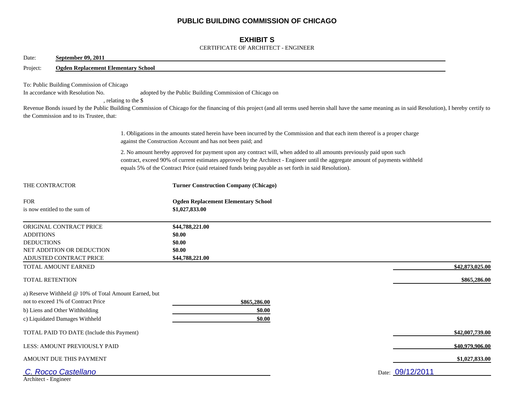## **PUBLIC BUILDING COMMISSION OF CHICAGO**

## **EXHIBIT S**

#### CERTIFICATE OF ARCHITECT - ENGINEER

| September 09, 2011<br>Date:                                                                                                                                     |                                                                                                                                                                                                                                                                                                                                                                |
|-----------------------------------------------------------------------------------------------------------------------------------------------------------------|----------------------------------------------------------------------------------------------------------------------------------------------------------------------------------------------------------------------------------------------------------------------------------------------------------------------------------------------------------------|
| <b>Ogden Replacement Elementary School</b><br>Project:                                                                                                          |                                                                                                                                                                                                                                                                                                                                                                |
| To: Public Building Commission of Chicago<br>In accordance with Resolution No.<br>the Commission and to its Trustee, that:                                      | adopted by the Public Building Commission of Chicago on<br>, relating to the \$<br>Revenue Bonds issued by the Public Building Commission of Chicago for the financing of this project (and all terms used herein shall have the same meaning as in said Resolution), I hereby certify to                                                                      |
|                                                                                                                                                                 | 1. Obligations in the amounts stated herein have been incurred by the Commission and that each item thereof is a proper charge<br>against the Construction Account and has not been paid; and                                                                                                                                                                  |
|                                                                                                                                                                 | 2. No amount hereby approved for payment upon any contract will, when added to all amounts previously paid upon such<br>contract, exceed 90% of current estimates approved by the Architect - Engineer until the aggregate amount of payments withheld<br>equals 5% of the Contract Price (said retained funds being payable as set forth in said Resolution). |
| THE CONTRACTOR                                                                                                                                                  | <b>Turner Construction Company (Chicago)</b>                                                                                                                                                                                                                                                                                                                   |
| <b>FOR</b><br>is now entitled to the sum of                                                                                                                     | <b>Ogden Replacement Elementary School</b><br>\$1,027,833.00                                                                                                                                                                                                                                                                                                   |
| ORIGINAL CONTRACT PRICE<br><b>ADDITIONS</b><br><b>DEDUCTIONS</b><br>NET ADDITION OR DEDUCTION<br>ADJUSTED CONTRACT PRICE                                        | \$44,788,221.00<br>\$0.00<br>\$0.00<br>\$0.00<br>\$44,788,221.00                                                                                                                                                                                                                                                                                               |
| TOTAL AMOUNT EARNED                                                                                                                                             | \$42,873,025.00                                                                                                                                                                                                                                                                                                                                                |
| <b>TOTAL RETENTION</b>                                                                                                                                          | \$865,286.00                                                                                                                                                                                                                                                                                                                                                   |
| a) Reserve Withheld @ 10% of Total Amount Earned, but<br>not to exceed 1% of Contract Price<br>b) Liens and Other Withholding<br>c) Liquidated Damages Withheld | \$865,286.00<br>\$0.00<br>\$0.00                                                                                                                                                                                                                                                                                                                               |
| TOTAL PAID TO DATE (Include this Payment)                                                                                                                       | \$42,007,739.00                                                                                                                                                                                                                                                                                                                                                |
| LESS: AMOUNT PREVIOUSLY PAID                                                                                                                                    | \$40,979,906.00                                                                                                                                                                                                                                                                                                                                                |
| AMOUNT DUE THIS PAYMENT                                                                                                                                         | \$1,027,833.00                                                                                                                                                                                                                                                                                                                                                 |
| C. Rocco Castellano<br>Architect - Engineer                                                                                                                     | Date: 09/12/2011                                                                                                                                                                                                                                                                                                                                               |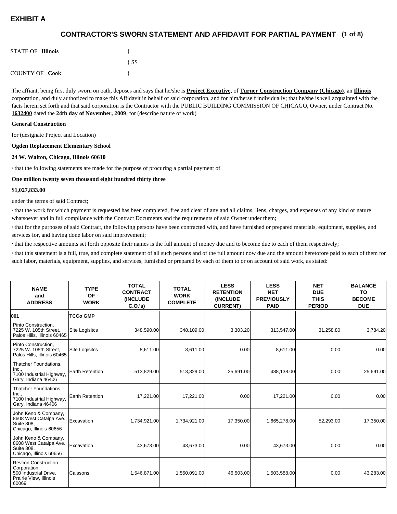## **(1 of 8) CONTRACTOR'S SWORN STATEMENT AND AFFIDAVIT FOR PARTIAL PAYMENT**

| <b>STATE OF Illinois</b> |          |
|--------------------------|----------|
|                          | $\{SS\}$ |
| <b>COUNTY OF Cook</b>    |          |

The affiant, being first duly sworn on oath, deposes and says that he/she is **Project Executive**, of **Turner Construction Company (Chicago)**, an **Illinois** corporation, and duly authorized to make this Affidavit in behalf of said corporation, and for him/herself individually; that he/she is well acquainted with the facts herein set forth and that said corporation is the Contractor with the PUBLIC BUILDING COMMISSION OF CHICAGO, Owner, under Contract No. **1632400** dated the **24th day of November, 2009**, for (describe nature of work)

#### **General Construction**

for (designate Project and Location)

#### **Ogden Replacement Elementary School**

#### **24 W. Walton, Chicago, Illinois 60610**

**·** that the following statements are made for the purpose of procuring a partial payment of

#### **One million twenty seven thousand eight hundred thirty three**

#### **\$1,027,833.00**

under the terms of said Contract;

**·** that the work for which payment is requested has been completed, free and clear of any and all claims, liens, charges, and expenses of any kind or nature whatsoever and in full compliance with the Contract Documents and the requirements of said Owner under them;

**·** that for the purposes of said Contract, the following persons have been contracted with, and have furnished or prepared materials, equipment, supplies, and services for, and having done labor on said improvement;

**·** that the respective amounts set forth opposite their names is the full amount of money due and to become due to each of them respectively;

**·** that this statement is a full, true, and complete statement of all such persons and of the full amount now due and the amount heretofore paid to each of them for such labor, materials, equipment, supplies, and services, furnished or prepared by each of them to or on account of said work, as stated:

| <b>NAME</b><br>and<br><b>ADDRESS</b>                                                                       | <b>TYPE</b><br><b>OF</b><br><b>WORK</b> | <b>TOTAL</b><br><b>CONTRACT</b><br><b>(INCLUDE)</b><br>C.0.'s) | <b>TOTAL</b><br><b>WORK</b><br><b>COMPLETE</b> | <b>LESS</b><br><b>RETENTION</b><br><b>(INCLUDE)</b><br><b>CURRENT)</b> | <b>LESS</b><br><b>NET</b><br><b>PREVIOUSLY</b><br><b>PAID</b> | <b>NET</b><br><b>DUE</b><br><b>THIS</b><br><b>PERIOD</b> | <b>BALANCE</b><br>TO<br><b>BECOME</b><br><b>DUE</b> |
|------------------------------------------------------------------------------------------------------------|-----------------------------------------|----------------------------------------------------------------|------------------------------------------------|------------------------------------------------------------------------|---------------------------------------------------------------|----------------------------------------------------------|-----------------------------------------------------|
| 001                                                                                                        | <b>TCCo GMP</b>                         |                                                                |                                                |                                                                        |                                                               |                                                          |                                                     |
| Pinto Construction.<br>7225 W. 105th Street,<br>Palos Hills, Illinois 60465                                | <b>Site Logisitcs</b>                   | 348,590.00                                                     | 348,109.00                                     | 3,303.20                                                               | 313,547.00                                                    | 31,258.80                                                | 3,784.20                                            |
| Pinto Construction.<br>7225 W. 105th Street.<br>Palos Hills, Illinois 60465                                | Site Logisitcs                          | 8,611.00                                                       | 8,611.00                                       | 0.00                                                                   | 8,611.00                                                      | 0.00                                                     | 0.00                                                |
| Thatcher Foundations.<br>Inc.,<br>7100 Industrial Highway,<br>Gary, Indiana 46406                          | Earth Retention                         | 513,829.00                                                     | 513,829.00                                     | 25,691.00                                                              | 488,138.00                                                    | 0.00                                                     | 25,691.00                                           |
| Thatcher Foundations,<br>Inc.,<br>7100 Industrial Highway,<br>Gary, Indiana 46406                          | Earth Retention                         | 17,221.00                                                      | 17,221.00                                      | 0.00                                                                   | 17,221.00                                                     | 0.00                                                     | 0.00                                                |
| John Keno & Company,<br>8608 West Catalpa Ave., Excavation<br>Suite 808,<br>Chicago, Illinois 60656        |                                         | 1,734,921.00                                                   | 1,734,921.00                                   | 17,350.00                                                              | 1,665,278.00                                                  | 52,293.00                                                | 17,350.00                                           |
| John Keno & Company,<br>8608 West Catalpa Ave., Excavation<br><b>Suite 808.</b><br>Chicago, Illinois 60656 |                                         | 43,673.00                                                      | 43,673.00                                      | 0.00                                                                   | 43,673.00                                                     | 0.00                                                     | 0.00                                                |
| <b>Revcon Construction</b><br>Corporation,<br>500 Industrial Drive,<br>Prairie View, Illinois<br>60069     | <b>Caissons</b>                         | 1,546,871.00                                                   | 1,550,091.00                                   | 46,503.00                                                              | 1,503,588.00                                                  | 0.00                                                     | 43,283.00                                           |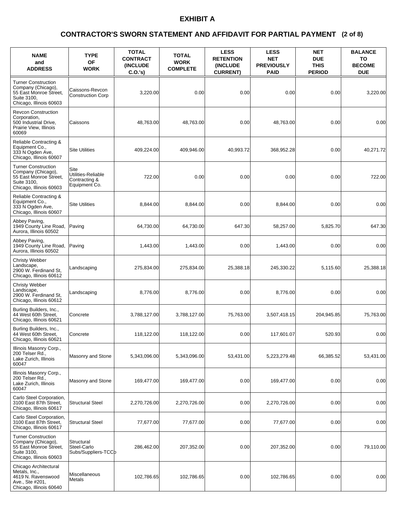### **(2 of 8) CONTRACTOR'S SWORN STATEMENT AND AFFIDAVIT FOR PARTIAL PAYMENT**

| <b>NAME</b><br>and<br><b>ADDRESS</b>                                                                                 | <b>TYPE</b><br><b>OF</b><br><b>WORK</b>                      | <b>TOTAL</b><br><b>CONTRACT</b><br><b>(INCLUDE)</b><br>C.O.'s | <b>TOTAL</b><br><b>WORK</b><br><b>COMPLETE</b> | <b>LESS</b><br><b>RETENTION</b><br>(INCLUDE<br><b>CURRENT)</b> | <b>LESS</b><br><b>NET</b><br><b>PREVIOUSLY</b><br><b>PAID</b> | <b>NET</b><br><b>DUE</b><br><b>THIS</b><br><b>PERIOD</b> | <b>BALANCE</b><br>TO<br><b>BECOME</b><br><b>DUE</b> |
|----------------------------------------------------------------------------------------------------------------------|--------------------------------------------------------------|---------------------------------------------------------------|------------------------------------------------|----------------------------------------------------------------|---------------------------------------------------------------|----------------------------------------------------------|-----------------------------------------------------|
| <b>Turner Construction</b><br>Company (Chicago),<br>55 East Monroe Street,<br>Suite 3100,<br>Chicago, Illinois 60603 | Caissons-Revcon<br><b>Construction Corp</b>                  | 3,220.00                                                      | 0.00                                           | 0.00                                                           | 0.00                                                          | 0.00                                                     | 3,220.00                                            |
| <b>Revcon Construction</b><br>Corporation,<br>500 Industrial Drive,<br>Prairie View, Illinois<br>60069               | Caissons                                                     | 48,763.00                                                     | 48,763.00                                      | 0.00                                                           | 48,763.00                                                     | 0.00                                                     | 0.00                                                |
| Reliable Contracting &<br>Equipment Co.,<br>333 N Ogden Ave,<br>Chicago, Illinois 60607                              | <b>Site Utilities</b>                                        | 409,224.00                                                    | 409,946.00                                     | 40,993.72                                                      | 368,952.28                                                    | 0.00                                                     | 40,271.72                                           |
| <b>Turner Construction</b><br>Company (Chicago),<br>55 East Monroe Street,<br>Suite 3100,<br>Chicago, Illinois 60603 | Site<br>Utilities-Reliable<br>Contracting &<br>Equipment Co. | 722.00                                                        | 0.00                                           | 0.00                                                           | 0.00                                                          | 0.00                                                     | 722.00                                              |
| Reliable Contracting &<br>Equipment Co.,<br>333 N Ogden Ave,<br>Chicago, Illinois 60607                              | <b>Site Utilities</b>                                        | 8,844.00                                                      | 8,844.00                                       | 0.00                                                           | 8,844.00                                                      | 0.00                                                     | 0.00                                                |
| Abbey Paving.<br>1949 County Line Road,<br>Aurora, Illinois 60502                                                    | Paving                                                       | 64,730.00                                                     | 64,730.00                                      | 647.30                                                         | 58,257.00                                                     | 5,825.70                                                 | 647.30                                              |
| Abbey Paving,<br>1949 County Line Road,<br>Aurora, Illinois 60502                                                    | Paving                                                       | 1,443.00                                                      | 1,443.00                                       | 0.00                                                           | 1,443.00                                                      | 0.00                                                     | 0.00                                                |
| <b>Christy Webber</b><br>Landscape,<br>2900 W. Ferdinand St,<br>Chicago, Illinois 60612                              | Landscaping                                                  | 275,834.00                                                    | 275,834.00                                     | 25,388.18                                                      | 245,330.22                                                    | 5,115.60                                                 | 25,388.18                                           |
| <b>Christy Webber</b><br>Landscape,<br>2900 W. Ferdinand St,<br>Chicago, Illinois 60612                              | Landscaping                                                  | 8,776.00                                                      | 8,776.00                                       | 0.00                                                           | 8,776.00                                                      | 0.00                                                     | 0.00                                                |
| Burling Builders, Inc.,<br>44 West 60th Street,<br>Chicago, Illinois 60621                                           | Concrete                                                     | 3,788,127.00                                                  | 3,788,127.00                                   | 75,763.00                                                      | 3,507,418.15                                                  | 204,945.85                                               | 75,763.00                                           |
| Burling Builders, Inc.,<br>44 West 60th Street,<br>Chicago, Illinois 60621                                           | Concrete                                                     | 118,122.00                                                    | 118,122.00                                     | 0.00                                                           | 117,601.07                                                    | 520.93                                                   | 0.00                                                |
| Illinois Masonry Corp.,<br>200 Telser Rd.,<br>Lake Zurich, Illinois<br>60047                                         | Masonry and Stone                                            | 5,343,096.00                                                  | 5,343,096.00                                   | 53,431.00                                                      | 5,223,279.48                                                  | 66,385.52                                                | 53,431.00                                           |
| Illinois Masonry Corp.,<br>200 Telser Rd.,<br>Lake Zurich, Illinois<br>60047                                         | Masonry and Stone                                            | 169,477.00                                                    | 169,477.00                                     | 0.00                                                           | 169,477.00                                                    | 0.00                                                     | 0.00                                                |
| Carlo Steel Corporation,<br>3100 East 87th Street,<br>Chicago, Illinois 60617                                        | <b>Structural Steel</b>                                      | 2,270,726.00                                                  | 2,270,726.00                                   | 0.00                                                           | 2,270,726.00                                                  | 0.00                                                     | 0.00                                                |
| Carlo Steel Corporation,<br>3100 East 87th Street,<br>Chicago, Illinois 60617                                        | <b>Structural Steel</b>                                      | 77,677.00                                                     | 77,677.00                                      | 0.00                                                           | 77,677.00                                                     | 0.00                                                     | 0.00                                                |
| <b>Turner Construction</b><br>Company (Chicago),<br>55 East Monroe Street,<br>Suite 3100,<br>Chicago, Illinois 60603 | Structural<br>Steel-Carlo<br>Subs/Suppliers-TCCb             | 286,462.00                                                    | 207,352.00                                     | 0.00                                                           | 207,352.00                                                    | 0.00                                                     | 79,110.00                                           |
| Chicago Architectural<br>Metals, Inc.,<br>4619 N. Ravenswood<br>Ave., Ste #201,<br>Chicago, Illinois 60640           | Miscellaneous<br>Metals                                      | 102,786.65                                                    | 102,786.65                                     | 0.00                                                           | 102,786.65                                                    | 0.00                                                     | 0.00                                                |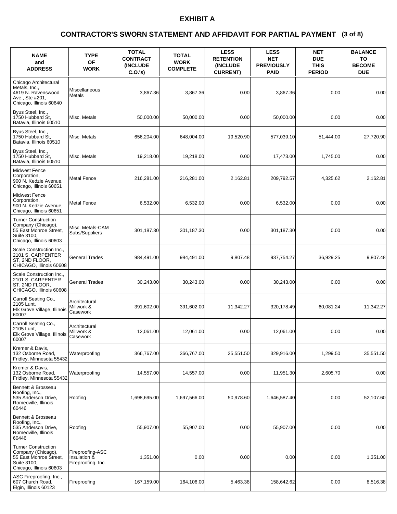### **(3 of 8) CONTRACTOR'S SWORN STATEMENT AND AFFIDAVIT FOR PARTIAL PAYMENT**

| <b>NAME</b><br>and<br><b>ADDRESS</b>                                                                                 | <b>TYPE</b><br><b>OF</b><br><b>WORK</b>                | <b>TOTAL</b><br><b>CONTRACT</b><br><b>INCLUDE</b><br>C.O.'s | <b>TOTAL</b><br><b>WORK</b><br><b>COMPLETE</b> | <b>LESS</b><br><b>RETENTION</b><br>(INCLUDE<br><b>CURRENT)</b> | <b>LESS</b><br><b>NET</b><br><b>PREVIOUSLY</b><br><b>PAID</b> | <b>NET</b><br><b>DUE</b><br><b>THIS</b><br><b>PERIOD</b> | <b>BALANCE</b><br>TO<br><b>BECOME</b><br><b>DUE</b> |
|----------------------------------------------------------------------------------------------------------------------|--------------------------------------------------------|-------------------------------------------------------------|------------------------------------------------|----------------------------------------------------------------|---------------------------------------------------------------|----------------------------------------------------------|-----------------------------------------------------|
| Chicago Architectural<br>Metals, Inc.,<br>4619 N. Ravenswood<br>Ave., Ste #201,<br>Chicago, Illinois 60640           | Miscellaneous<br><b>Metals</b>                         | 3,867.36                                                    | 3,867.36                                       | 0.00                                                           | 3,867.36                                                      | 0.00                                                     | 0.00                                                |
| Byus Steel, Inc.,<br>1750 Hubbard St.<br>Batavia, Illinois 60510                                                     | Misc. Metals                                           | 50,000.00                                                   | 50,000.00                                      | 0.00                                                           | 50,000.00                                                     | 0.00                                                     | 0.00                                                |
| Byus Steel, Inc.,<br>1750 Hubbard St.<br>Batavia, Illinois 60510                                                     | Misc. Metals                                           | 656,204.00                                                  | 648.004.00                                     | 19,520.90                                                      | 577,039.10                                                    | 51,444.00                                                | 27,720.90                                           |
| Byus Steel, Inc.,<br>1750 Hubbard St.<br>Batavia, Illinois 60510                                                     | Misc. Metals                                           | 19,218.00                                                   | 19,218.00                                      | 0.00                                                           | 17,473.00                                                     | 1,745.00                                                 | 0.00                                                |
| <b>Midwest Fence</b><br>Corporation,<br>900 N. Kedzie Avenue,<br>Chicago, Illinois 60651                             | <b>Metal Fence</b>                                     | 216,281.00                                                  | 216,281.00                                     | 2,162.81                                                       | 209,792.57                                                    | 4,325.62                                                 | 2,162.81                                            |
| <b>Midwest Fence</b><br>Corporation,<br>900 N. Kedzie Avenue,<br>Chicago, Illinois 60651                             | <b>Metal Fence</b>                                     | 6,532.00                                                    | 6,532.00                                       | 0.00                                                           | 6,532.00                                                      | 0.00                                                     | 0.00                                                |
| <b>Turner Construction</b><br>Company (Chicago),<br>55 East Monroe Street,<br>Suite 3100,<br>Chicago, Illinois 60603 | Misc. Metals-CAM<br>Subs/Suppliers                     | 301,187.30                                                  | 301,187.30                                     | 0.00                                                           | 301,187.30                                                    | 0.00                                                     | 0.00                                                |
| Scale Construction Inc.,<br>2101 S. CARPENTER<br>ST, 2ND FLOOR,<br>CHICAGO, Illinois 60608                           | <b>General Trades</b>                                  | 984,491.00                                                  | 984,491.00                                     | 9,807.48                                                       | 937,754.27                                                    | 36,929.25                                                | 9,807.48                                            |
| Scale Construction Inc.,<br>2101 S. CARPENTER<br>ST, 2ND FLOOR,<br>CHICAGO, Illinois 60608                           | <b>General Trades</b>                                  | 30,243.00                                                   | 30,243.00                                      | 0.00                                                           | 30,243.00                                                     | 0.00                                                     | 0.00                                                |
| Carroll Seating Co.,<br>2105 Lunt.<br>Elk Grove Village, Illinois<br>60007                                           | Architectural<br>Millwork &<br>Casework                | 391,602.00                                                  | 391,602.00                                     | 11,342.27                                                      | 320,178.49                                                    | 60,081.24                                                | 11,342.27                                           |
| Carroll Seating Co.,<br>2105 Lunt,<br>Elk Grove Village, Illinois<br>60007                                           | Architectural<br>Millwork &<br>Casework                | 12.061.00                                                   | 12,061.00                                      | 0.00                                                           | 12.061.00                                                     | 0.00                                                     | 0.00                                                |
| Kremer & Davis,<br>132 Osborne Road,<br>Fridley, Minnesota 55432                                                     | Waterproofing                                          | 366,767.00                                                  | 366,767.00                                     | 35,551.50                                                      | 329,916.00                                                    | 1,299.50                                                 | 35,551.50                                           |
| Kremer & Davis,<br>132 Osborne Road,<br>Fridley, Minnesota 55432                                                     | Waterproofing                                          | 14,557.00                                                   | 14,557.00                                      | 0.00                                                           | 11,951.30                                                     | 2,605.70                                                 | 0.00                                                |
| Bennett & Brosseau<br>Roofing, Inc.,<br>535 Anderson Drive,<br>Romeoville, Illinois<br>60446                         | Roofing                                                | 1,698,695.00                                                | 1,697,566.00                                   | 50,978.60                                                      | 1,646,587.40                                                  | 0.00                                                     | 52,107.60                                           |
| Bennett & Brosseau<br>Roofing, Inc.,<br>535 Anderson Drive,<br>Romeoville, Illinois<br>60446                         | Roofing                                                | 55,907.00                                                   | 55,907.00                                      | 0.00                                                           | 55,907.00                                                     | 0.00                                                     | 0.00                                                |
| <b>Turner Construction</b><br>Company (Chicago),<br>55 East Monroe Street,<br>Suite 3100,<br>Chicago, Illinois 60603 | Fireproofing-ASC<br>Insulation &<br>Fireproofing, Inc. | 1,351.00                                                    | 0.00                                           | 0.00                                                           | 0.00                                                          | 0.00                                                     | 1,351.00                                            |
| ASC Fireproofing, Inc.,<br>607 Church Road,<br>Elgin, Illinois 60123                                                 | Fireproofing                                           | 167,159.00                                                  | 164,106.00                                     | 5,463.38                                                       | 158,642.62                                                    | 0.00                                                     | 8,516.38                                            |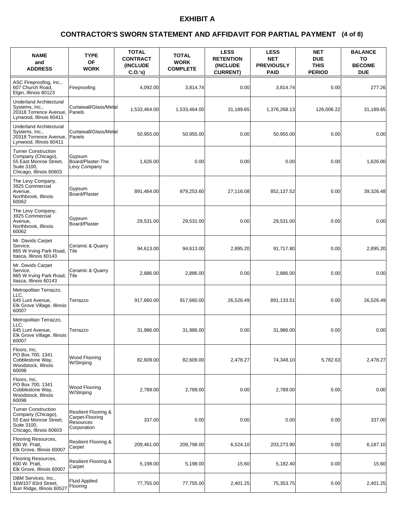### **(4 of 8) CONTRACTOR'S SWORN STATEMENT AND AFFIDAVIT FOR PARTIAL PAYMENT**

| <b>NAME</b><br>and<br><b>ADDRESS</b>                                                                                 | <b>TYPE</b><br><b>OF</b><br><b>WORK</b>                                        | <b>TOTAL</b><br><b>CONTRACT</b><br><b>INCLUDE</b><br>C.O.'s | <b>TOTAL</b><br><b>WORK</b><br><b>COMPLETE</b> | <b>LESS</b><br><b>RETENTION</b><br><b>(INCLUDE)</b><br><b>CURRENT)</b> | <b>LESS</b><br><b>NET</b><br><b>PREVIOUSLY</b><br><b>PAID</b> | <b>NET</b><br><b>DUE</b><br><b>THIS</b><br><b>PERIOD</b> | <b>BALANCE</b><br>TO<br><b>BECOME</b><br><b>DUE</b> |
|----------------------------------------------------------------------------------------------------------------------|--------------------------------------------------------------------------------|-------------------------------------------------------------|------------------------------------------------|------------------------------------------------------------------------|---------------------------------------------------------------|----------------------------------------------------------|-----------------------------------------------------|
| ASC Fireproofing, Inc.,<br>607 Church Road,<br>Elgin, Illinois 60123                                                 | Fireproofing                                                                   | 4,092.00                                                    | 3,814.74                                       | 0.00                                                                   | 3,814.74                                                      | 0.00                                                     | 277.26                                              |
| <b>Underland Architectural</b><br>Systems, Inc.,<br>20318 Torrence Avenue,<br>Lynwood, Illinois 60411                | Curtaiwall/Glass/Metal<br>Panels                                               | 1,533,464.00                                                | 1,533,464.00                                   | 31,189.65                                                              | 1,376,268.13                                                  | 126,006.22                                               | 31,189.65                                           |
| <b>Underland Architectural</b><br>Systems, Inc.,<br>20318 Torrence Avenue,<br>Lynwood, Illinois 60411                | Curtaiwall/Glass/Metal<br>Panels                                               | 50.955.00                                                   | 50,955.00                                      | 0.00                                                                   | 50,955.00                                                     | 0.00                                                     | 0.00                                                |
| <b>Turner Construction</b><br>Company (Chicago),<br>55 East Monroe Street,<br>Suite 3100,<br>Chicago, Illinois 60603 | Gypsum<br>Board/Plaster-The<br>Levy Company                                    | 1,626.00                                                    | 0.00                                           | 0.00                                                                   | 0.00                                                          | 0.00                                                     | 1,626.00                                            |
| The Levy Company,<br>3925 Commercial<br>Avenue,<br>Northbrook, Illinois<br>60062                                     | Gypsum<br><b>Board/Plaster</b>                                                 | 891,464.00                                                  | 879,253.60                                     | 27,116.08                                                              | 852,137.52                                                    | 0.00                                                     | 39,326.48                                           |
| The Levy Company,<br>3925 Commercial<br>Avenue.<br>Northbrook, Illinois<br>60062                                     | Gypsum<br>Board/Plaster                                                        | 29,531.00                                                   | 29,531.00                                      | 0.00                                                                   | 29,531.00                                                     | 0.00                                                     | 0.00                                                |
| Mr. Davids Carpet<br>Service,<br>865 W Irving Park Road,<br>Itasca, Illinois 60143                                   | Ceramic & Quarry<br>lTile                                                      | 94,613.00                                                   | 94,613.00                                      | 2,895.20                                                               | 91,717.80                                                     | 0.00                                                     | 2,895.20                                            |
| Mr. Davids Carpet<br>Service,<br>865 W Irving Park Road,<br>Itasca, Illinois 60143                                   | Ceramic & Quarry<br>Tile                                                       | 2,886.00                                                    | 2,886.00                                       | 0.00                                                                   | 2,886.00                                                      | 0.00                                                     | 0.00                                                |
| Metropolitan Terrazzo,<br>LLC.<br>645 Lunt Avenue,<br>Elk Grove Village, Illinois<br>60007                           | Terrazzo                                                                       | 917,660.00                                                  | 917,660.00                                     | 26.526.49                                                              | 891,133.51                                                    | 0.00                                                     | 26,526.49                                           |
| Metropolitan Terrazzo,<br>LLC.<br>645 Lunt Avenue,<br>Elk Grove Village, Illinois<br>60007                           | Terrazzo                                                                       | 31,986.00                                                   | 31,986.00                                      | 0.00                                                                   | 31,986.00                                                     | 0.00                                                     | 0.00                                                |
| Floors, Inc,<br>PO Box 700, 1341<br>Cobblestone Way,<br>Woodstock, Illinois<br>60098                                 | Wood Flooring<br>W/Striping                                                    | 82,609.00                                                   | 82,609.00                                      | 2,478.27                                                               | 74,348.10                                                     | 5,782.63                                                 | 2,478.27                                            |
| Floors, Inc,<br>PO Box 700, 1341<br>Cobblestone Way,<br>Woodstock, Illinois<br>60098                                 | <b>Wood Flooring</b><br>W/Striping                                             | 2.789.00                                                    | 2,789.00                                       | 0.00                                                                   | 2,789.00                                                      | 0.00                                                     | 0.00                                                |
| <b>Turner Construction</b><br>Company (Chicago),<br>55 East Monroe Street,<br>Suite 3100,<br>Chicago, Illinois 60603 | <b>Resilient Flooring &amp;</b><br>Carpet-Flooring<br>Resources<br>Corporation | 337.00                                                      | 0.00                                           | 0.00                                                                   | 0.00                                                          | 0.00                                                     | 337.00                                              |
| Flooring Resources,<br>600 W. Pratt,<br>Elk Grove, Illinois 60007                                                    | <b>Resilient Flooring &amp;</b><br>Carpet                                      | 209,461.00                                                  | 209,798.00                                     | 6,524.10                                                               | 203,273.90                                                    | 0.00                                                     | 6,187.10                                            |
| Flooring Resources,<br>600 W. Pratt,<br>Elk Grove, Illinois 60007                                                    | Resilient Flooring &<br>Carpet                                                 | 5,198.00                                                    | 5,198.00                                       | 15.60                                                                  | 5,182.40                                                      | 0.00                                                     | 15.60                                               |
| DBM Services, Inc.,<br>16W107 83rd Street,<br>Burr Ridge, Illinois 60527                                             | <b>Fluid Applied</b><br>Flooring                                               | 77,755.00                                                   | 77,755.00                                      | 2,401.25                                                               | 75,353.75                                                     | 0.00                                                     | 2,401.25                                            |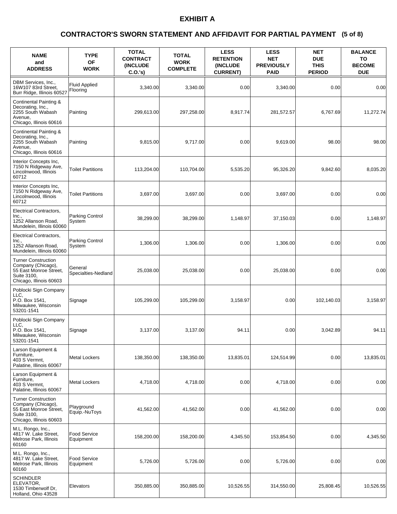### **(5 of 8) CONTRACTOR'S SWORN STATEMENT AND AFFIDAVIT FOR PARTIAL PAYMENT**

| <b>NAME</b><br>and<br><b>ADDRESS</b>                                                                                 | <b>TYPE</b><br>OF<br><b>WORK</b> | <b>TOTAL</b><br><b>CONTRACT</b><br><b>(INCLUDE)</b><br>C.O.'s | <b>TOTAL</b><br><b>WORK</b><br><b>COMPLETE</b> | <b>LESS</b><br><b>RETENTION</b><br>(INCLUDE<br><b>CURRENT)</b> | <b>LESS</b><br><b>NET</b><br><b>PREVIOUSLY</b><br><b>PAID</b> | <b>NET</b><br><b>DUE</b><br><b>THIS</b><br><b>PERIOD</b> | <b>BALANCE</b><br>TO<br><b>BECOME</b><br><b>DUE</b> |
|----------------------------------------------------------------------------------------------------------------------|----------------------------------|---------------------------------------------------------------|------------------------------------------------|----------------------------------------------------------------|---------------------------------------------------------------|----------------------------------------------------------|-----------------------------------------------------|
| DBM Services, Inc.,<br>16W107 83rd Street.<br>Burr Ridge, Illinois 60527                                             | <b>Fluid Applied</b><br>Flooring | 3,340.00                                                      | 3,340.00                                       | 0.00                                                           | 3,340.00                                                      | 0.00                                                     | 0.00                                                |
| Continental Painting &<br>Decorating, Inc.,<br>2255 South Wabash<br>Avenue.<br>Chicago, Illinois 60616               | Painting                         | 299,613.00                                                    | 297,258.00                                     | 8,917.74                                                       | 281,572.57                                                    | 6,767.69                                                 | 11,272.74                                           |
| <b>Continental Painting &amp;</b><br>Decorating, Inc.,<br>2255 South Wabash<br>Avenue.<br>Chicago, Illinois 60616    | Painting                         | 9,815.00                                                      | 9,717.00                                       | 0.00                                                           | 9,619.00                                                      | 98.00                                                    | 98.00                                               |
| Interior Concepts Inc,<br>7150 N Ridgeway Ave,<br>Lincolnwood, Illinois<br>60712                                     | <b>Toilet Partitions</b>         | 113,204.00                                                    | 110,704.00                                     | 5,535.20                                                       | 95,326.20                                                     | 9,842.60                                                 | 8,035.20                                            |
| Interior Concepts Inc.<br>7150 N Ridgeway Ave,<br>Lincolnwood, Illinois<br>60712                                     | <b>Toilet Partitions</b>         | 3,697.00                                                      | 3,697.00                                       | 0.00                                                           | 3,697.00                                                      | 0.00                                                     | 0.00                                                |
| <b>Electrical Contractors,</b><br>Inc.,<br>1252 Allanson Road,<br>Mundelein, Illinois 60060                          | Parking Control<br>System        | 38.299.00                                                     | 38,299.00                                      | 1,148.97                                                       | 37,150.03                                                     | 0.00                                                     | 1,148.97                                            |
| Electrical Contractors,<br>Inc.,<br>1252 Allanson Road,<br>Mundelein, Illinois 60060                                 | Parking Control<br>System        | 1,306.00                                                      | 1,306.00                                       | 0.00                                                           | 1,306.00                                                      | 0.00                                                     | 0.00                                                |
| <b>Turner Construction</b><br>Company (Chicago),<br>55 East Monroe Street,<br>Suite 3100,<br>Chicago, Illinois 60603 | General<br>Specialties-Nedland   | 25,038.00                                                     | 25,038.00                                      | 0.00                                                           | 25,038.00                                                     | 0.00                                                     | 0.00                                                |
| Poblocki Sign Company<br>LLC.<br>P.O. Box 1541.<br>Milwaukee, Wisconsin<br>53201-1541                                | Signage                          | 105,299.00                                                    | 105,299.00                                     | 3,158.97                                                       | 0.00                                                          | 102.140.03                                               | 3,158.97                                            |
| Poblocki Sign Company<br>LLC.<br>P.O. Box 1541.<br>Milwaukee, Wisconsin<br>53201-1541                                | Signage                          | 3,137.00                                                      | 3,137.00                                       | 94.11                                                          | 0.00                                                          | 3,042.89                                                 | 94.11                                               |
| Larson Equipment &<br>Furniture,<br>403 S Vermnt,<br>Palatine, Illinois 60067                                        | <b>Metal Lockers</b>             | 138,350.00                                                    | 138,350.00                                     | 13,835.01                                                      | 124,514.99                                                    | 0.00                                                     | 13,835.01                                           |
| Larson Equipment &<br>Furniture,<br>403 S Vermnt,<br>Palatine, Illinois 60067                                        | <b>Metal Lockers</b>             | 4,718.00                                                      | 4,718.00                                       | 0.00                                                           | 4,718.00                                                      | 0.00                                                     | 0.00                                                |
| <b>Turner Construction</b><br>Company (Chicago),<br>55 East Monroe Street,<br>Suite 3100,<br>Chicago, Illinois 60603 | Playground<br>Equip.-NuToys      | 41,562.00                                                     | 41,562.00                                      | 0.00                                                           | 41,562.00                                                     | 0.00                                                     | 0.00                                                |
| M.L. Rongo, Inc.,<br>4817 W. Lake Street,<br>Melrose Park, Illinois<br>60160                                         | <b>Food Service</b><br>Equipment | 158,200.00                                                    | 158,200.00                                     | 4,345.50                                                       | 153,854.50                                                    | 0.00                                                     | 4,345.50                                            |
| M.L. Rongo, Inc.,<br>4817 W. Lake Street,<br>Melrose Park, Illinois<br>60160                                         | Food Service<br>Equipment        | 5,726.00                                                      | 5,726.00                                       | 0.00                                                           | 5,726.00                                                      | 0.00                                                     | 0.00                                                |
| <b>SCHINDLER</b><br>ELEVATOR,<br>1530 Timberwolf Dr,<br>Holland, Ohio 43528                                          | Elevators                        | 350,885.00                                                    | 350,885.00                                     | 10,526.55                                                      | 314,550.00                                                    | 25,808.45                                                | 10,526.55                                           |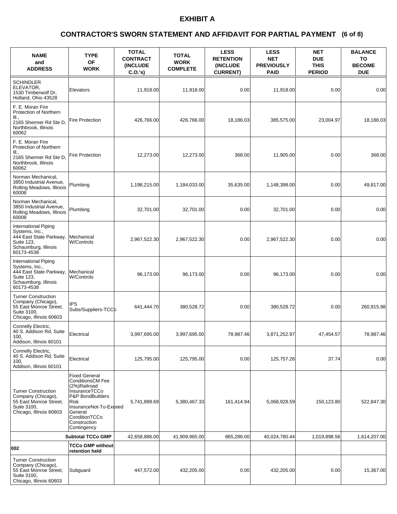### **(6 of 8) CONTRACTOR'S SWORN STATEMENT AND AFFIDAVIT FOR PARTIAL PAYMENT**

| <b>NAME</b><br>and<br><b>ADDRESS</b>                                                                                  | <b>TYPE</b><br><b>OF</b><br><b>WORK</b>                                                                                                                                                           | <b>TOTAL</b><br><b>CONTRACT</b><br><b>(INCLUDE</b><br>C.O.'s | <b>TOTAL</b><br><b>WORK</b><br><b>COMPLETE</b> | <b>LESS</b><br><b>RETENTION</b><br>(INCLUDE<br><b>CURRENT)</b> | <b>LESS</b><br><b>NET</b><br><b>PREVIOUSLY</b><br><b>PAID</b> | <b>NET</b><br><b>DUE</b><br><b>THIS</b><br><b>PERIOD</b> | <b>BALANCE</b><br>TO<br><b>BECOME</b><br><b>DUE</b> |
|-----------------------------------------------------------------------------------------------------------------------|---------------------------------------------------------------------------------------------------------------------------------------------------------------------------------------------------|--------------------------------------------------------------|------------------------------------------------|----------------------------------------------------------------|---------------------------------------------------------------|----------------------------------------------------------|-----------------------------------------------------|
| <b>SCHINDLER</b><br>ELEVATOR,<br>1530 Timberwolf Dr.<br>Holland, Ohio 43528                                           | Elevators                                                                                                                                                                                         | 11,918.00                                                    | 11,918.00                                      | 0.00                                                           | 11,918.00                                                     | 0.00                                                     | 0.00                                                |
| F. E. Moran Fire<br>Protection of Northern<br>III.,<br>2165 Shermer Rd Ste D,<br>Northbrook, Illinois<br>60062        | Fire Protection                                                                                                                                                                                   | 426,766.00                                                   | 426,766.00                                     | 18,186.03                                                      | 385,575.00                                                    | 23,004.97                                                | 18,186.03                                           |
| F. E. Moran Fire<br>Protection of Northern<br>III.,<br>2165 Shermer Rd Ste D,<br>Northbrook, Illinois<br>60062        | <b>Fire Protection</b>                                                                                                                                                                            | 12,273.00                                                    | 12,273.00                                      | 368.00                                                         | 11,905.00                                                     | 0.00                                                     | 368.00                                              |
| Norman Mechanical.<br>3850 Industrial Avenue,<br>Rolling Meadows, Illinois<br>60008                                   | Plumbing                                                                                                                                                                                          | 1,198,215.00                                                 | 1,184,033.00                                   | 35,635.00                                                      | 1,148,398.00                                                  | 0.00                                                     | 49,817.00                                           |
| Norman Mechanical.<br>3850 Industrial Avenue.<br>Rolling Meadows, Illinois<br>60008                                   | Plumbing                                                                                                                                                                                          | 32,701.00                                                    | 32,701.00                                      | 0.00                                                           | 32,701.00                                                     | 0.00                                                     | 0.00                                                |
| International Piping<br>Systems, Inc.,<br>444 East State Parkway,<br>Suite 123,<br>Schaumburg, Illinois<br>60173-4538 | Mechanical<br><b>W/Controls</b>                                                                                                                                                                   | 2,967,522.30                                                 | 2,967,522.30                                   | 0.00                                                           | 2,967,522.30                                                  | 0.00                                                     | 0.00                                                |
| International Piping<br>Systems, Inc.,<br>444 East State Parkway,<br>Suite 123,<br>Schaumburg, Illinois<br>60173-4538 | Mechanical<br><b>W/Controls</b>                                                                                                                                                                   | 96,173.00                                                    | 96,173.00                                      | 0.00                                                           | 96,173.00                                                     | 0.00                                                     | 0.00                                                |
| <b>Turner Construction</b><br>Company (Chicago),<br>55 East Monroe Street,<br>Suite 3100,<br>Chicago, Illinois 60603  | IPS<br>Subs/Suppliers-TCCb                                                                                                                                                                        | 641,444.70                                                   | 380,528.72                                     | 0.00                                                           | 380,528.72                                                    | 0.00                                                     | 260,915.98                                          |
| Connelly Electric,<br>40 S. Addison Rd, Suite<br>100,<br>Addison, Illinois 60101                                      | Electrical                                                                                                                                                                                        | 3,997,695.00                                                 | 3,997,695.00                                   | 78,987.46                                                      | 3,871,252.97                                                  | 47,454.57                                                | 78,987.46                                           |
| Connelly Electric,<br>40 S. Addison Rd, Suite<br>100,<br>Addison, Illinois 60101                                      | Electrical                                                                                                                                                                                        | 125,795.00                                                   | 125,795.00                                     | 0.00                                                           | 125,757.26                                                    | 37.74                                                    | 0.00                                                |
| <b>Turner Construction</b><br>Company (Chicago),<br>55 East Monroe Street,<br>Suite 3100,<br>Chicago, Illinois 60603  | <b>Fixed General</b><br><b>ConditionsCM Fee</b><br>(2%)Railroad<br>InsuranceTCCo<br>P&P BondBuilders<br>Risk<br>InsuranceNot-To-Exceed<br>General<br>ConditionTCCo<br>Construction<br>Contingency | 5,741,899.69                                                 | 5,380,467.33                                   | 161,414.94                                                     | 5,068,928.59                                                  | 150,123.80                                               | 522,847.30                                          |
|                                                                                                                       | <b>Subtotal TCCo GMP</b>                                                                                                                                                                          | 42,658,886.00                                                | 41,909,965.00                                  | 865,286.00                                                     | 40,024,780.44                                                 | 1,019,898.56                                             | 1,614,207.00                                        |
| 002                                                                                                                   | TCCo GMP without<br>retention held                                                                                                                                                                |                                                              |                                                |                                                                |                                                               |                                                          |                                                     |
| <b>Turner Construction</b><br>Company (Chicago),<br>55 East Monroe Street,<br>Suite 3100,<br>Chicago, Illinois 60603  | Subguard                                                                                                                                                                                          | 447,572.00                                                   | 432,205.00                                     | 0.00                                                           | 432,205.00                                                    | 0.00                                                     | 15,367.00                                           |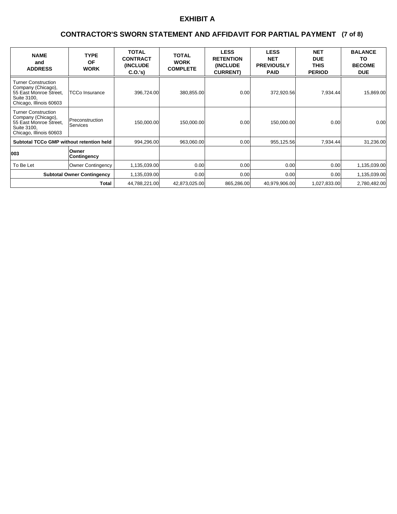### **(7 of 8) CONTRACTOR'S SWORN STATEMENT AND AFFIDAVIT FOR PARTIAL PAYMENT**

| <b>NAME</b><br>and<br><b>ADDRESS</b>                                                                                 | <b>TYPE</b><br><b>OF</b><br><b>WORK</b> | <b>TOTAL</b><br><b>CONTRACT</b><br><b>(INCLUDE)</b><br>C.0.'s) | <b>TOTAL</b><br><b>WORK</b><br><b>COMPLETE</b> | <b>LESS</b><br><b>RETENTION</b><br><b>(INCLUDE)</b><br><b>CURRENT)</b> | <b>LESS</b><br><b>NET</b><br><b>PREVIOUSLY</b><br><b>PAID</b> | <b>NET</b><br><b>DUE</b><br><b>THIS</b><br><b>PERIOD</b> | <b>BALANCE</b><br>ΤO<br><b>BECOME</b><br><b>DUE</b> |
|----------------------------------------------------------------------------------------------------------------------|-----------------------------------------|----------------------------------------------------------------|------------------------------------------------|------------------------------------------------------------------------|---------------------------------------------------------------|----------------------------------------------------------|-----------------------------------------------------|
| <b>Turner Construction</b><br>Company (Chicago),<br>55 East Monroe Street,<br>Suite 3100,<br>Chicago, Illinois 60603 | <b>TCCo Insurance</b>                   | 396,724.00                                                     | 380,855.00                                     | 0.00                                                                   | 372,920.56                                                    | 7,934.44                                                 | 15,869.00                                           |
| <b>Turner Construction</b><br>Company (Chicago),<br>55 East Monroe Street,<br>Suite 3100,<br>Chicago, Illinois 60603 | Preconstruction<br><b>Services</b>      | 150,000.00                                                     | 150,000.00                                     | 0.00                                                                   | 150,000.00                                                    | 0.00                                                     | 0.00                                                |
| <b>Subtotal TCCo GMP without retention held</b>                                                                      |                                         | 994,296.00                                                     | 963,060.00                                     | 0.00                                                                   | 955,125.56                                                    | 7,934.44                                                 | 31,236.00                                           |
| 003                                                                                                                  | Owner<br>Contingency                    |                                                                |                                                |                                                                        |                                                               |                                                          |                                                     |
| To Be Let                                                                                                            | <b>Owner Contingency</b>                | 1,135,039.00                                                   | 0.00                                           | 0.00                                                                   | 0.00                                                          | 0.00                                                     | 1,135,039.00                                        |
|                                                                                                                      | <b>Subtotal Owner Contingency</b>       | 1,135,039.00                                                   | 0.00 <sub>l</sub>                              | 0.00                                                                   | 0.00                                                          | 0.001                                                    | 1,135,039.00                                        |
|                                                                                                                      | Total                                   | 44,788,221.00                                                  | 42,873,025.00                                  | 865,286.00                                                             | 40,979,906.00                                                 | 1,027,833.00                                             | 2,780,482.00                                        |